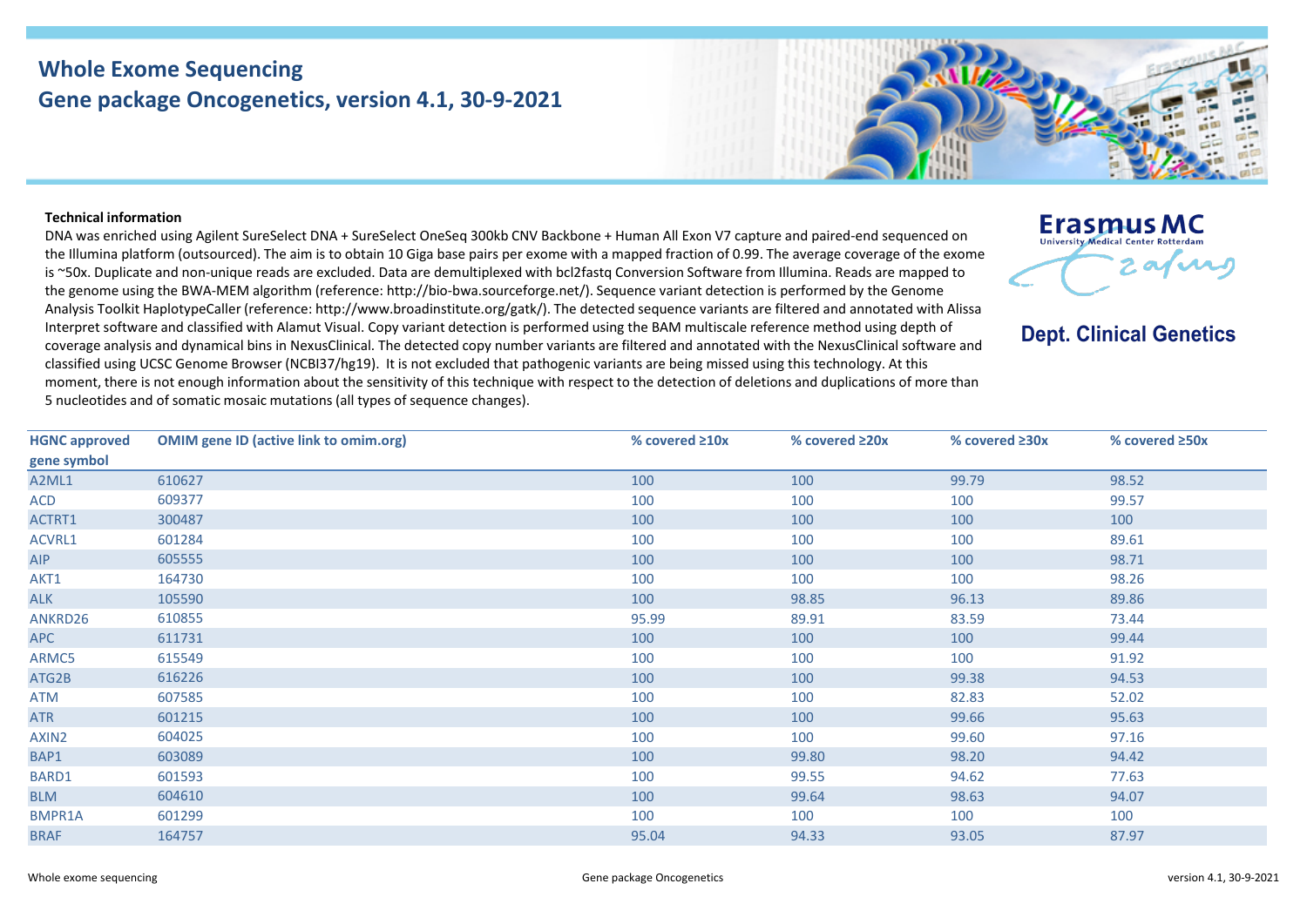## **Whole Exome Sequencing Gene package Oncogenetics, version 4.1, 30-9-2021**



## **Technical information**

DNA was enriched using Agilent SureSelect DNA + SureSelect OneSeq 300kb CNV Backbone + Human All Exon V7 capture and paired-end sequenced on the Illumina platform (outsourced). The aim is to obtain 10 Giga base pairs per exome with a mapped fraction of 0.99. The average coverage of the exome is ~50x. Duplicate and non-unique reads are excluded. Data are demultiplexed with bcl2fastq Conversion Software from Illumina. Reads are mapped to the genome using the BWA-MEM algorithm (reference: http://bio-bwa.sourceforge.net/). Sequence variant detection is performed by the Genome Analysis Toolkit HaplotypeCaller (reference: http://www.broadinstitute.org/gatk/). The detected sequence variants are filtered and annotated with Alissa Interpret software and classified with Alamut Visual. Copy variant detection is performed using the BAM multiscale reference method using depth of coverage analysis and dynamical bins in NexusClinical. The detected copy number variants are filtered and annotated with the NexusClinical software and classified using UCSC Genome Browser (NCBI37/hg19). It is not excluded that pathogenic variants are being missed using this technology. At this moment, there is not enough information about the sensitivity of this technique with respect to the detection of deletions and duplications of more than 5 nucleotides and of somatic mosaic mutations (all types of sequence changes).

| <b>HGNC approved</b> | <b>OMIM gene ID (active link to omim.org)</b> | % covered $\geq 10x$ | % covered $\geq 20x$ | % covered ≥30x | % covered ≥50x |
|----------------------|-----------------------------------------------|----------------------|----------------------|----------------|----------------|
| gene symbol          |                                               |                      |                      |                |                |
| A2ML1                | 610627                                        | 100                  | 100                  | 99.79          | 98.52          |
| ACD                  | 609377                                        | 100                  | 100                  | 100            | 99.57          |
| ACTRT1               | 300487                                        | 100                  | 100                  | 100            | 100            |
| ACVRL1               | 601284                                        | 100                  | 100                  | 100            | 89.61          |
| <b>AIP</b>           | 605555                                        | 100                  | 100                  | 100            | 98.71          |
| AKT1                 | 164730                                        | 100                  | 100                  | 100            | 98.26          |
| <b>ALK</b>           | 105590                                        | 100                  | 98.85                | 96.13          | 89.86          |
| ANKRD26              | 610855                                        | 95.99                | 89.91                | 83.59          | 73.44          |
| <b>APC</b>           | 611731                                        | 100                  | 100                  | 100            | 99.44          |
| ARMC5                | 615549                                        | 100                  | 100                  | 100            | 91.92          |
| ATG2B                | 616226                                        | 100                  | 100                  | 99.38          | 94.53          |
| ATM                  | 607585                                        | 100                  | 100                  | 82.83          | 52.02          |
| <b>ATR</b>           | 601215                                        | 100                  | 100                  | 99.66          | 95.63          |
| AXIN2                | 604025                                        | 100                  | 100                  | 99.60          | 97.16          |
| BAP1                 | 603089                                        | 100                  | 99.80                | 98.20          | 94.42          |
| BARD1                | 601593                                        | 100                  | 99.55                | 94.62          | 77.63          |
| <b>BLM</b>           | 604610                                        | 100                  | 99.64                | 98.63          | 94.07          |
| BMPR1A               | 601299                                        | 100                  | 100                  | 100            | 100            |
| <b>BRAF</b>          | 164757                                        | 95.04                | 94.33                | 93.05          | 87.97          |

**Erasmus MC** University Medical Center Rotterdam 2 avril

**Dept. Clinical Genetics**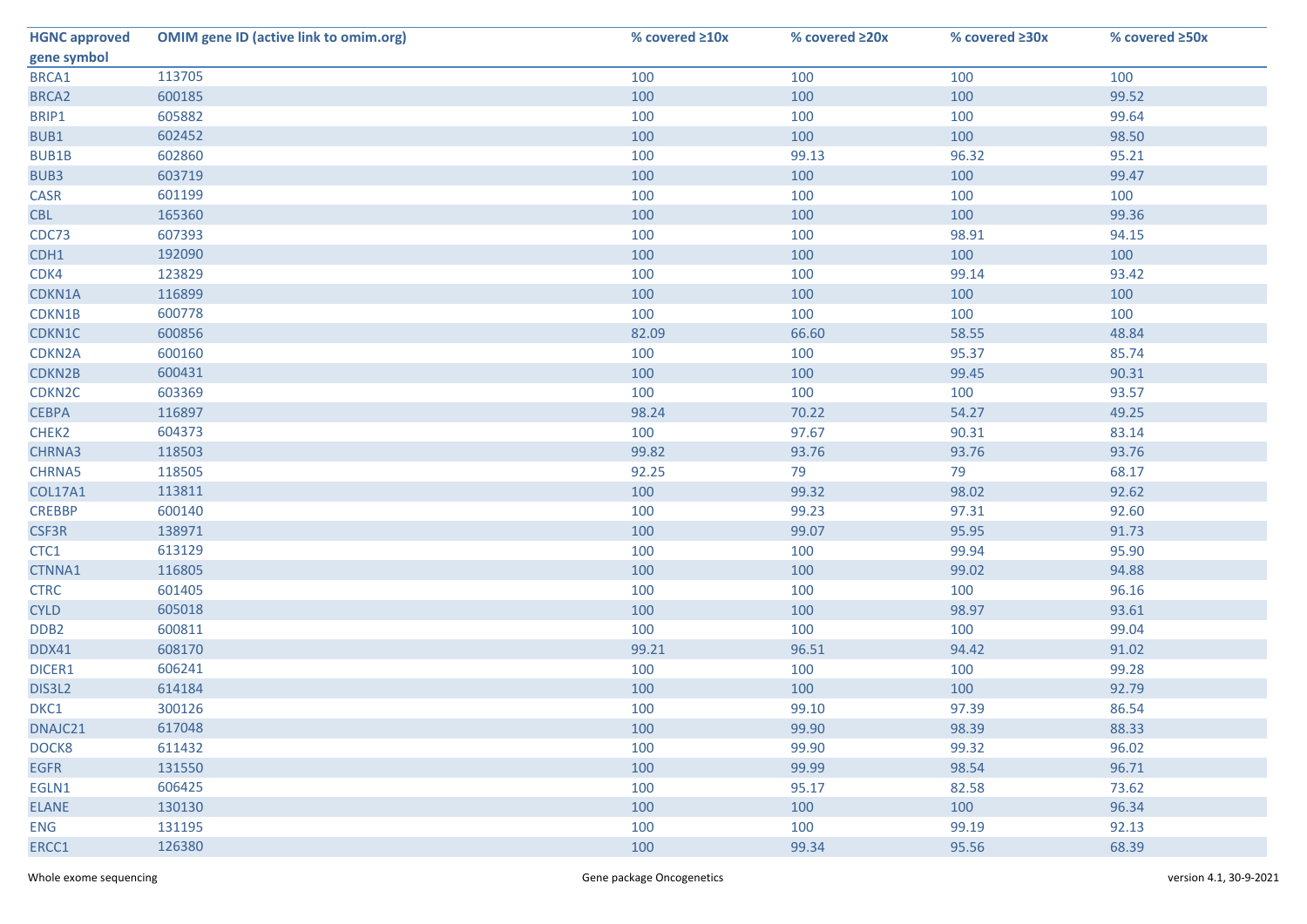| <b>HGNC approved</b> | <b>OMIM gene ID (active link to omim.org)</b> | % covered ≥10x | % covered ≥20x | % covered ≥30x | % covered ≥50x |
|----------------------|-----------------------------------------------|----------------|----------------|----------------|----------------|
| gene symbol          |                                               |                |                |                |                |
| BRCA1                | 113705                                        | 100            | 100            | 100            | 100            |
| BRCA <sub>2</sub>    | 600185                                        | 100            | 100            | 100            | 99.52          |
| BRIP1                | 605882                                        | 100            | 100            | 100            | 99.64          |
| BUB1                 | 602452                                        | 100            | 100            | 100            | 98.50          |
| <b>BUB1B</b>         | 602860                                        | 100            | 99.13          | 96.32          | 95.21          |
| BUB3                 | 603719                                        | 100            | 100            | 100            | 99.47          |
| CASR                 | 601199                                        | 100            | 100            | 100            | 100            |
| <b>CBL</b>           | 165360                                        | 100            | 100            | 100            | 99.36          |
| CDC73                | 607393                                        | 100            | 100            | 98.91          | 94.15          |
| CDH1                 | 192090                                        | 100            | 100            | 100            | 100            |
| CDK4                 | 123829                                        | 100            | 100            | 99.14          | 93.42          |
| CDKN1A               | 116899                                        | 100            | 100            | 100            | 100            |
| CDKN1B               | 600778                                        | 100            | 100            | 100            | 100            |
| CDKN1C               | 600856                                        | 82.09          | 66.60          | 58.55          | 48.84          |
| CDKN2A               | 600160                                        | 100            | 100            | 95.37          | 85.74          |
| CDKN2B               | 600431                                        | 100            | 100            | 99.45          | 90.31          |
| CDKN <sub>2C</sub>   | 603369                                        | 100            | 100            | 100            | 93.57          |
| <b>CEBPA</b>         | 116897                                        | 98.24          | 70.22          | 54.27          | 49.25          |
| CHEK2                | 604373                                        | 100            | 97.67          | 90.31          | 83.14          |
| CHRNA3               | 118503                                        | 99.82          | 93.76          | 93.76          | 93.76          |
| CHRNA5               | 118505                                        | 92.25          | 79             | 79             | 68.17          |
| <b>COL17A1</b>       | 113811                                        | 100            | 99.32          | 98.02          | 92.62          |
| <b>CREBBP</b>        | 600140                                        | 100            | 99.23          | 97.31          | 92.60          |
| CSF3R                | 138971                                        | 100            | 99.07          | 95.95          | 91.73          |
| CTC1                 | 613129                                        | 100            | 100            | 99.94          | 95.90          |
| CTNNA1               | 116805                                        | 100            | 100            | 99.02          | 94.88          |
| <b>CTRC</b>          | 601405                                        | 100            | 100            | 100            | 96.16          |
| <b>CYLD</b>          | 605018                                        | 100            | 100            | 98.97          | 93.61          |
| DDB <sub>2</sub>     | 600811                                        | 100            | 100            | 100            | 99.04          |
| DDX41                | 608170                                        | 99.21          | 96.51          | 94.42          | 91.02          |
| DICER1               | 606241                                        | 100            | 100            | 100            | 99.28          |
| DIS3L2               | 614184                                        | 100            | 100            | 100            | 92.79          |
| DKC1                 | 300126                                        | 100            | 99.10          | 97.39          | 86.54          |
| DNAJC21              | 617048                                        | 100            | 99.90          | 98.39          | 88.33          |
| DOCK8                | 611432                                        | 100            | 99.90          | 99.32          | 96.02          |
| <b>EGFR</b>          | 131550                                        | 100            | 99.99          | 98.54          | 96.71          |
| EGLN1                | 606425                                        | 100            | 95.17          | 82.58          | 73.62          |
| <b>ELANE</b>         | 130130                                        | 100            | 100            | 100            | 96.34          |
| <b>ENG</b>           | 131195                                        | 100            | 100            | 99.19          | 92.13          |
| ERCC1                | 126380                                        | 100            | 99.34          | 95.56          | 68.39          |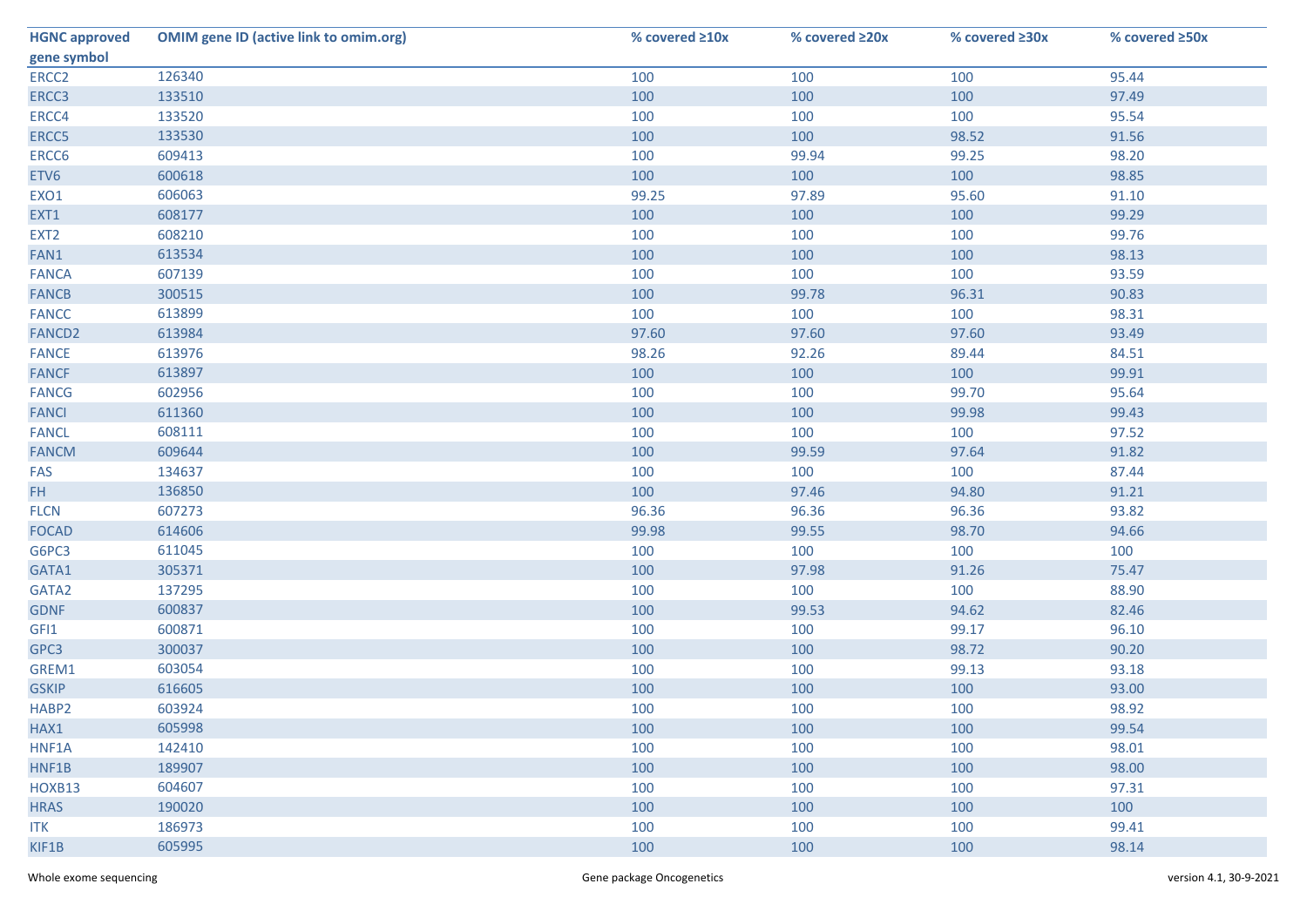| <b>HGNC approved</b> | <b>OMIM gene ID (active link to omim.org)</b> | % covered ≥10x | % covered ≥20x | % covered ≥30x | % covered ≥50x |
|----------------------|-----------------------------------------------|----------------|----------------|----------------|----------------|
| gene symbol          |                                               |                |                |                |                |
| ERCC <sub>2</sub>    | 126340                                        | 100            | 100            | 100            | 95.44          |
| ERCC3                | 133510                                        | 100            | 100            | 100            | 97.49          |
| ERCC4                | 133520                                        | 100            | 100            | 100            | 95.54          |
| ERCC5                | 133530                                        | 100            | 100            | 98.52          | 91.56          |
| ERCC6                | 609413                                        | 100            | 99.94          | 99.25          | 98.20          |
| ETV6                 | 600618                                        | 100            | 100            | 100            | 98.85          |
| EXO1                 | 606063                                        | 99.25          | 97.89          | 95.60          | 91.10          |
| EXT1                 | 608177                                        | 100            | 100            | 100            | 99.29          |
| EXT <sub>2</sub>     | 608210                                        | 100            | 100            | 100            | 99.76          |
| FAN1                 | 613534                                        | 100            | 100            | 100            | 98.13          |
| <b>FANCA</b>         | 607139                                        | 100            | 100            | 100            | 93.59          |
| <b>FANCB</b>         | 300515                                        | 100            | 99.78          | 96.31          | 90.83          |
| <b>FANCC</b>         | 613899                                        | 100            | 100            | 100            | 98.31          |
| FANCD <sub>2</sub>   | 613984                                        | 97.60          | 97.60          | 97.60          | 93.49          |
| <b>FANCE</b>         | 613976                                        | 98.26          | 92.26          | 89.44          | 84.51          |
| <b>FANCF</b>         | 613897                                        | 100            | 100            | 100            | 99.91          |
| <b>FANCG</b>         | 602956                                        | 100            | 100            | 99.70          | 95.64          |
| <b>FANCI</b>         | 611360                                        | 100            | 100            | 99.98          | 99.43          |
| <b>FANCL</b>         | 608111                                        | 100            | 100            | 100            | 97.52          |
| <b>FANCM</b>         | 609644                                        | 100            | 99.59          | 97.64          | 91.82          |
| FAS                  | 134637                                        | 100            | 100            | 100            | 87.44          |
| FH.                  | 136850                                        | 100            | 97.46          | 94.80          | 91.21          |
| <b>FLCN</b>          | 607273                                        | 96.36          | 96.36          | 96.36          | 93.82          |
| <b>FOCAD</b>         | 614606                                        | 99.98          | 99.55          | 98.70          | 94.66          |
| G6PC3                | 611045                                        | 100            | 100            | 100            | 100            |
| GATA1                | 305371                                        | 100            | 97.98          | 91.26          | 75.47          |
| GATA2                | 137295                                        | 100            | 100            | 100            | 88.90          |
| <b>GDNF</b>          | 600837                                        | 100            | 99.53          | 94.62          | 82.46          |
| GFI1                 | 600871                                        | 100            | 100            | 99.17          | 96.10          |
| GPC3                 | 300037                                        | 100            | 100            | 98.72          | 90.20          |
| GREM1                | 603054                                        | 100            | 100            | 99.13          | 93.18          |
| <b>GSKIP</b>         | 616605                                        | 100            | 100            | 100            | 93.00          |
| HABP <sub>2</sub>    | 603924                                        | 100            | 100            | 100            | 98.92          |
| HAX1                 | 605998                                        | 100            | 100            | 100            | 99.54          |
| HNF1A                | 142410                                        | 100            | 100            | 100            | 98.01          |
| HNF1B                | 189907                                        | 100            | 100            | 100            | 98.00          |
| HOXB13               | 604607                                        | 100            | 100            | 100            | 97.31          |
| <b>HRAS</b>          | 190020                                        | 100            | 100            | 100            | 100            |
| <b>ITK</b>           | 186973                                        | 100            | 100            | 100            | 99.41          |
| KIF1B                | 605995                                        | 100            | 100            | 100            | 98.14          |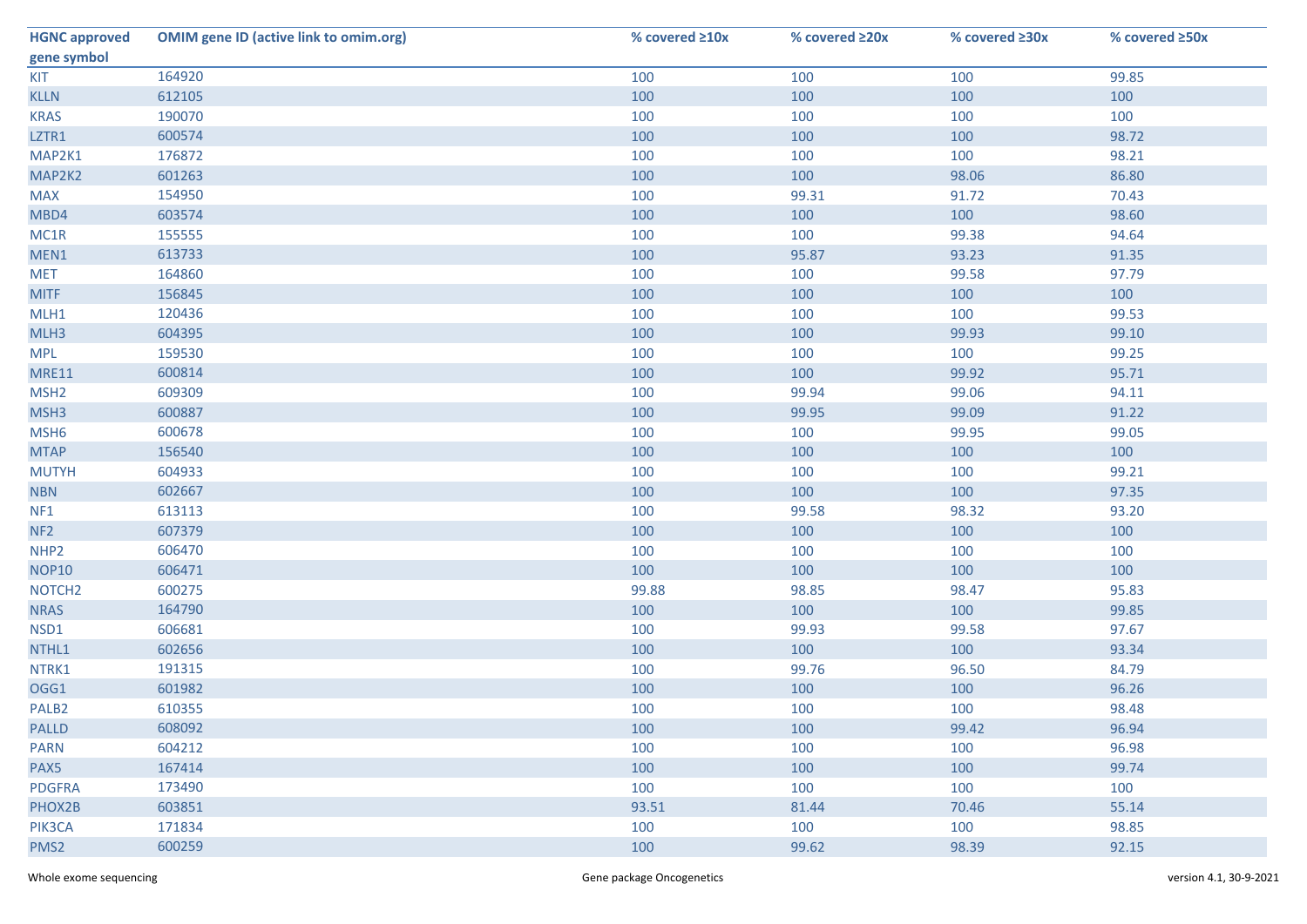| <b>HGNC approved</b> | <b>OMIM gene ID (active link to omim.org)</b> | % covered ≥10x | % covered ≥20x | % covered ≥30x | % covered $\geq$ 50x |
|----------------------|-----------------------------------------------|----------------|----------------|----------------|----------------------|
| gene symbol          |                                               |                |                |                |                      |
| KIT                  | 164920                                        | 100            | 100            | 100            | 99.85                |
| <b>KLLN</b>          | 612105                                        | 100            | 100            | 100            | 100                  |
| <b>KRAS</b>          | 190070                                        | 100            | 100            | 100            | 100                  |
| LZTR1                | 600574                                        | 100            | 100            | 100            | 98.72                |
| MAP2K1               | 176872                                        | 100            | 100            | 100            | 98.21                |
| MAP2K2               | 601263                                        | 100            | 100            | 98.06          | 86.80                |
| <b>MAX</b>           | 154950                                        | 100            | 99.31          | 91.72          | 70.43                |
| MBD4                 | 603574                                        | 100            | 100            | 100            | 98.60                |
| MC1R                 | 155555                                        | 100            | 100            | 99.38          | 94.64                |
| MEN1                 | 613733                                        | 100            | 95.87          | 93.23          | 91.35                |
| <b>MET</b>           | 164860                                        | 100            | 100            | 99.58          | 97.79                |
| <b>MITF</b>          | 156845                                        | 100            | 100            | 100            | 100                  |
| MLH1                 | 120436                                        | 100            | 100            | 100            | 99.53                |
| MLH3                 | 604395                                        | 100            | 100            | 99.93          | 99.10                |
| <b>MPL</b>           | 159530                                        | 100            | 100            | 100            | 99.25                |
| <b>MRE11</b>         | 600814                                        | 100            | 100            | 99.92          | 95.71                |
| MSH <sub>2</sub>     | 609309                                        | 100            | 99.94          | 99.06          | 94.11                |
| MSH3                 | 600887                                        | 100            | 99.95          | 99.09          | 91.22                |
| MSH <sub>6</sub>     | 600678                                        | 100            | 100            | 99.95          | 99.05                |
| <b>MTAP</b>          | 156540                                        | 100            | 100            | 100            | 100                  |
| <b>MUTYH</b>         | 604933                                        | 100            | 100            | 100            | 99.21                |
| <b>NBN</b>           | 602667                                        | 100            | 100            | 100            | 97.35                |
| NF <sub>1</sub>      | 613113                                        | 100            | 99.58          | 98.32          | 93.20                |
| NF <sub>2</sub>      | 607379                                        | 100            | 100            | 100            | 100                  |
| NHP <sub>2</sub>     | 606470                                        | 100            | 100            | 100            | 100                  |
| <b>NOP10</b>         | 606471                                        | 100            | 100            | 100            | 100                  |
| NOTCH <sub>2</sub>   | 600275                                        | 99.88          | 98.85          | 98.47          | 95.83                |
| <b>NRAS</b>          | 164790                                        | 100            | 100            | 100            | 99.85                |
| NSD1                 | 606681                                        | 100            | 99.93          | 99.58          | 97.67                |
| NTHL1                | 602656                                        | 100            | 100            | 100            | 93.34                |
| NTRK1                | 191315                                        | 100            | 99.76          | 96.50          | 84.79                |
| OGG1                 | 601982                                        | 100            | 100            | 100            | 96.26                |
| PALB <sub>2</sub>    | 610355                                        | 100            | 100            | 100            | 98.48                |
| <b>PALLD</b>         | 608092                                        | 100            | 100            | 99.42          | 96.94                |
| <b>PARN</b>          | 604212                                        | 100            | 100            | 100            | 96.98                |
| PAX5                 | 167414                                        | 100            | 100            | 100            | 99.74                |
| <b>PDGFRA</b>        | 173490                                        | 100            | 100            | 100            | 100                  |
| PHOX2B               | 603851                                        | 93.51          | 81.44          | 70.46          | 55.14                |
| PIK3CA               | 171834                                        | 100            | 100            | 100            | 98.85                |
| PMS2                 | 600259                                        | 100            | 99.62          | 98.39          | 92.15                |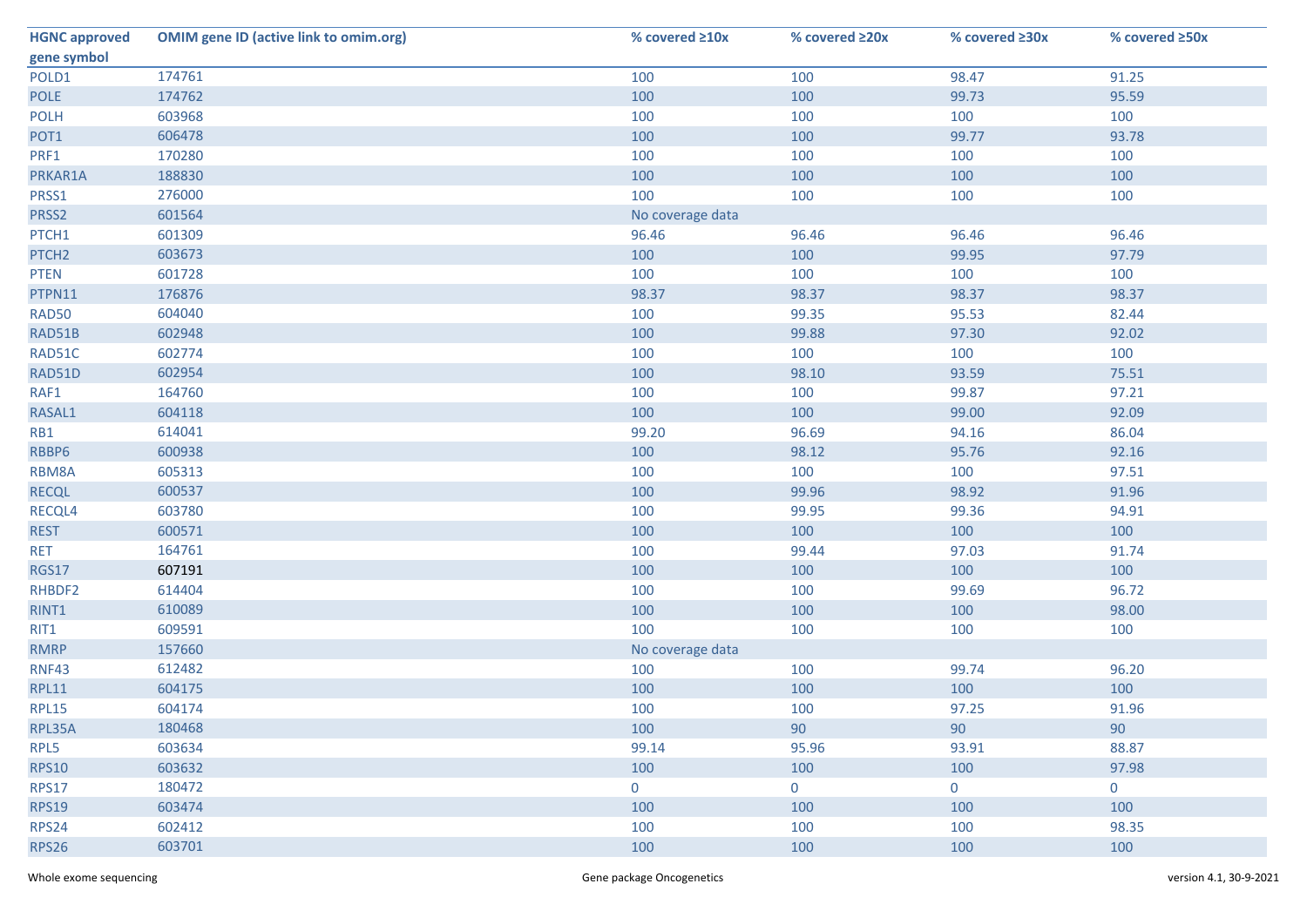| <b>HGNC approved</b> | <b>OMIM gene ID (active link to omim.org)</b> | % covered ≥10x   | % covered ≥20x | % covered ≥30x | % covered ≥50x |
|----------------------|-----------------------------------------------|------------------|----------------|----------------|----------------|
| gene symbol          |                                               |                  |                |                |                |
| POLD1                | 174761                                        | 100              | 100            | 98.47          | 91.25          |
| <b>POLE</b>          | 174762                                        | 100              | 100            | 99.73          | 95.59          |
| <b>POLH</b>          | 603968                                        | 100              | 100            | 100            | 100            |
| POT1                 | 606478                                        | 100              | 100            | 99.77          | 93.78          |
| PRF1                 | 170280                                        | 100              | 100            | 100            | 100            |
| PRKAR1A              | 188830                                        | 100              | 100            | 100            | 100            |
| PRSS1                | 276000                                        | 100              | 100            | 100            | 100            |
| PRSS2                | 601564                                        | No coverage data |                |                |                |
| PTCH1                | 601309                                        | 96.46            | 96.46          | 96.46          | 96.46          |
| PTCH <sub>2</sub>    | 603673                                        | 100              | 100            | 99.95          | 97.79          |
| <b>PTEN</b>          | 601728                                        | 100              | 100            | 100            | 100            |
| PTPN11               | 176876                                        | 98.37            | 98.37          | 98.37          | 98.37          |
| <b>RAD50</b>         | 604040                                        | 100              | 99.35          | 95.53          | 82.44          |
| RAD51B               | 602948                                        | 100              | 99.88          | 97.30          | 92.02          |
| RAD51C               | 602774                                        | 100              | 100            | 100            | 100            |
| RAD51D               | 602954                                        | 100              | 98.10          | 93.59          | 75.51          |
| RAF1                 | 164760                                        | 100              | 100            | 99.87          | 97.21          |
| RASAL1               | 604118                                        | 100              | 100            | 99.00          | 92.09          |
| RB1                  | 614041                                        | 99.20            | 96.69          | 94.16          | 86.04          |
| RBBP6                | 600938                                        | 100              | 98.12          | 95.76          | 92.16          |
| RBM8A                | 605313                                        | 100              | 100            | 100            | 97.51          |
| <b>RECQL</b>         | 600537                                        | 100              | 99.96          | 98.92          | 91.96          |
| RECQL4               | 603780                                        | 100              | 99.95          | 99.36          | 94.91          |
| <b>REST</b>          | 600571                                        | 100              | 100            | 100            | 100            |
| <b>RET</b>           | 164761                                        | 100              | 99.44          | 97.03          | 91.74          |
| <b>RGS17</b>         | 607191                                        | 100              | 100            | 100            | 100            |
| RHBDF2               | 614404                                        | 100              | 100            | 99.69          | 96.72          |
| RINT1                | 610089                                        | 100              | 100            | 100            | 98.00          |
| RIT1                 | 609591                                        | 100              | 100            | 100            | 100            |
| <b>RMRP</b>          | 157660                                        | No coverage data |                |                |                |
| <b>RNF43</b>         | 612482                                        | 100              | 100            | 99.74          | 96.20          |
| <b>RPL11</b>         | 604175                                        | 100              | 100            | 100            | 100            |
| <b>RPL15</b>         | 604174                                        | 100              | 100            | 97.25          | 91.96          |
| RPL35A               | 180468                                        | 100              | 90             | 90             | 90             |
| RPL5                 | 603634                                        | 99.14            | 95.96          | 93.91          | 88.87          |
| <b>RPS10</b>         | 603632                                        | 100              | 100            | 100            | 97.98          |
| <b>RPS17</b>         | 180472                                        | $\mathbf 0$      | $\overline{0}$ | $\overline{0}$ | $\mathbf 0$    |
| <b>RPS19</b>         | 603474                                        | 100              | 100            | 100            | 100            |
| <b>RPS24</b>         | 602412                                        | 100              | 100            | 100            | 98.35          |
| <b>RPS26</b>         | 603701                                        | 100              | 100            | 100            | 100            |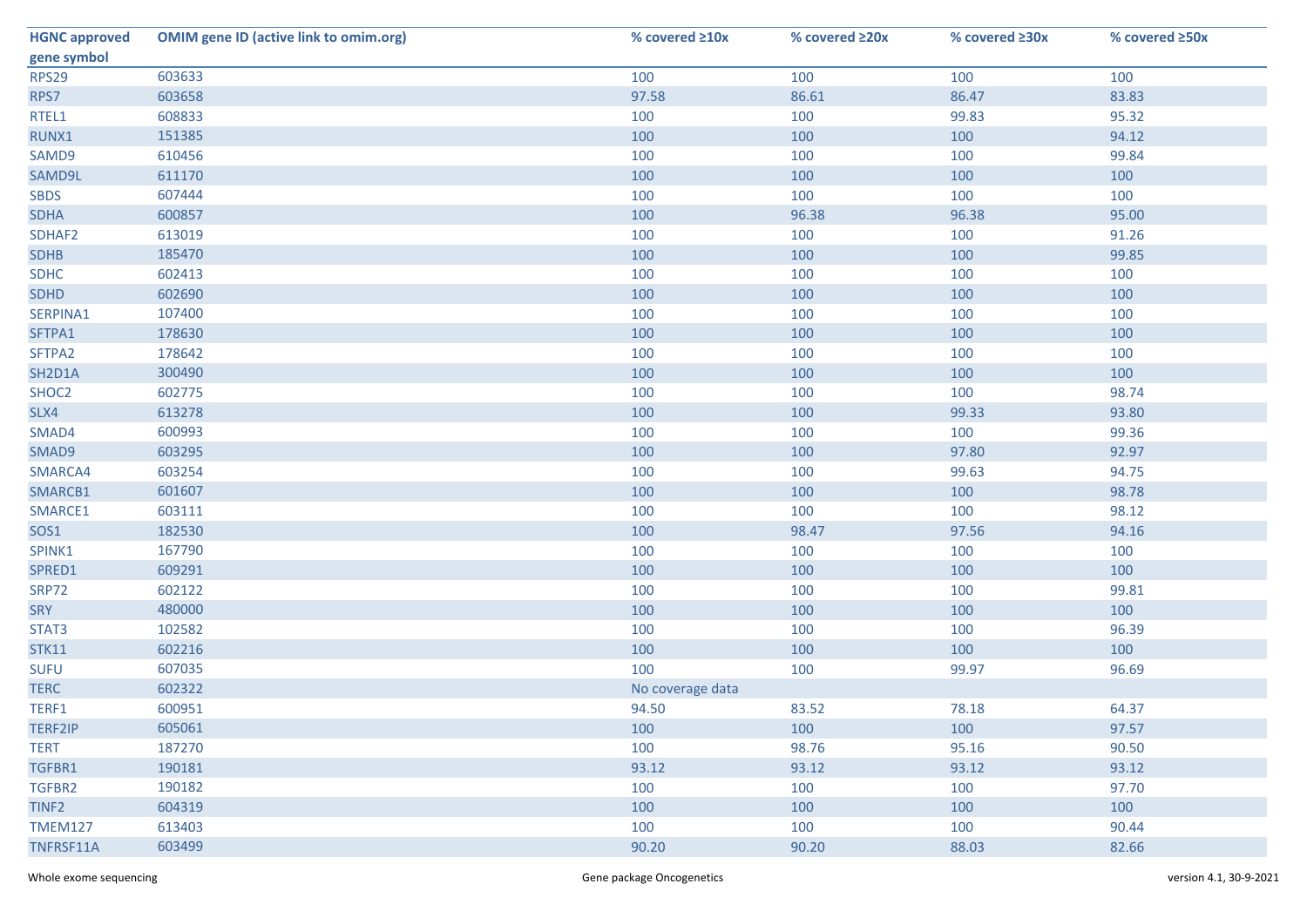| <b>HGNC approved</b> | <b>OMIM gene ID (active link to omim.org)</b> | % covered ≥10x   | % covered ≥20x | % covered ≥30x | % covered ≥50x |
|----------------------|-----------------------------------------------|------------------|----------------|----------------|----------------|
| gene symbol          |                                               |                  |                |                |                |
| <b>RPS29</b>         | 603633                                        | 100              | 100            | 100            | 100            |
| RPS7                 | 603658                                        | 97.58            | 86.61          | 86.47          | 83.83          |
| RTEL1                | 608833                                        | 100              | 100            | 99.83          | 95.32          |
| RUNX1                | 151385                                        | 100              | 100            | 100            | 94.12          |
| SAMD9                | 610456                                        | 100              | 100            | 100            | 99.84          |
| SAMD9L               | 611170                                        | 100              | 100            | 100            | 100            |
| <b>SBDS</b>          | 607444                                        | 100              | 100            | 100            | 100            |
| <b>SDHA</b>          | 600857                                        | 100              | 96.38          | 96.38          | 95.00          |
| SDHAF2               | 613019                                        | 100              | 100            | 100            | 91.26          |
| <b>SDHB</b>          | 185470                                        | 100              | 100            | 100            | 99.85          |
| <b>SDHC</b>          | 602413                                        | 100              | 100            | 100            | 100            |
| <b>SDHD</b>          | 602690                                        | 100              | 100            | 100            | 100            |
| SERPINA1             | 107400                                        | 100              | 100            | 100            | 100            |
| SFTPA1               | 178630                                        | 100              | 100            | 100            | 100            |
| SFTPA2               | 178642                                        | 100              | 100            | 100            | 100            |
| SH2D1A               | 300490                                        | 100              | 100            | 100            | 100            |
| SHOC2                | 602775                                        | 100              | 100            | 100            | 98.74          |
| SLX4                 | 613278                                        | 100              | 100            | 99.33          | 93.80          |
| SMAD4                | 600993                                        | 100              | 100            | 100            | 99.36          |
| SMAD9                | 603295                                        | 100              | 100            | 97.80          | 92.97          |
| SMARCA4              | 603254                                        | 100              | 100            | 99.63          | 94.75          |
| SMARCB1              | 601607                                        | 100              | 100            | 100            | 98.78          |
| SMARCE1              | 603111                                        | 100              | 100            | 100            | 98.12          |
| SOS1                 | 182530                                        | 100              | 98.47          | 97.56          | 94.16          |
| SPINK1               | 167790                                        | 100              | 100            | 100            | 100            |
| SPRED1               | 609291                                        | 100              | 100            | 100            | 100            |
| <b>SRP72</b>         | 602122                                        | 100              | 100            | 100            | 99.81          |
| SRY                  | 480000                                        | 100              | 100            | 100            | 100            |
| STAT3                | 102582                                        | 100              | 100            | 100            | 96.39          |
| <b>STK11</b>         | 602216                                        | 100              | 100            | 100            | 100            |
| <b>SUFU</b>          | 607035                                        | 100              | 100            | 99.97          | 96.69          |
| <b>TERC</b>          | 602322                                        | No coverage data |                |                |                |
| TERF1                | 600951                                        | 94.50            | 83.52          | 78.18          | 64.37          |
| TERF2IP              | 605061                                        | 100              | 100            | 100            | 97.57          |
| <b>TERT</b>          | 187270                                        | 100              | 98.76          | 95.16          | 90.50          |
| TGFBR1               | 190181                                        | 93.12            | 93.12          | 93.12          | 93.12          |
| TGFBR2               | 190182                                        | 100              | 100            | 100            | 97.70          |
| TINF <sub>2</sub>    | 604319                                        | 100              | 100            | 100            | 100            |
| <b>TMEM127</b>       | 613403                                        | 100              | 100            | 100            | 90.44          |
| TNFRSF11A            | 603499                                        | 90.20            | 90.20          | 88.03          | 82.66          |